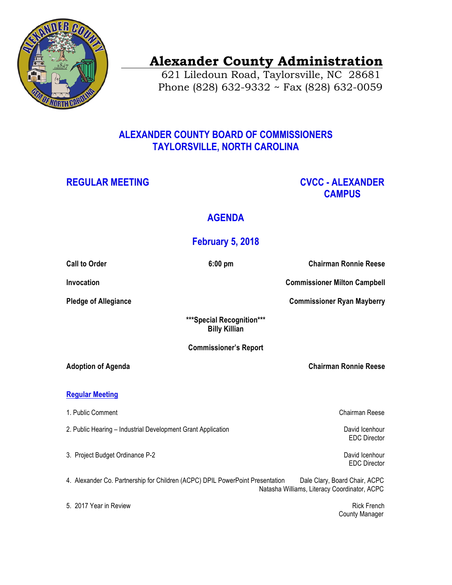

# **Alexander County Administration**

 621 Liledoun Road, Taylorsville, NC 28681 Phone (828) 632-9332 ~ Fax (828) 632-0059

### **ALEXANDER COUNTY BOARD OF COMMISSIONERS TAYLORSVILLE, NORTH CAROLINA**

## **REGULAR MEETING CVCC - ALEXANDER CAMPUS**

## **AGENDA**

## **February 5, 2018**

| <b>Call to Order</b>                                                          | $6:00$ pm                                         | <b>Chairman Ronnie Reese</b>                                                  |
|-------------------------------------------------------------------------------|---------------------------------------------------|-------------------------------------------------------------------------------|
| Invocation                                                                    |                                                   | <b>Commissioner Milton Campbell</b>                                           |
| <b>Pledge of Allegiance</b>                                                   |                                                   | <b>Commissioner Ryan Mayberry</b>                                             |
|                                                                               | ***Special Recognition***<br><b>Billy Killian</b> |                                                                               |
| <b>Commissioner's Report</b>                                                  |                                                   |                                                                               |
| <b>Adoption of Agenda</b>                                                     |                                                   | <b>Chairman Ronnie Reese</b>                                                  |
| <b>Regular Meeting</b>                                                        |                                                   |                                                                               |
| 1. Public Comment                                                             |                                                   | <b>Chairman Reese</b>                                                         |
| 2. Public Hearing - Industrial Development Grant Application                  |                                                   | David Icenhour<br><b>EDC Director</b>                                         |
| 3. Project Budget Ordinance P-2                                               |                                                   | David Icenhour<br><b>EDC</b> Director                                         |
| 4. Alexander Co. Partnership for Children (ACPC) DPIL PowerPoint Presentation |                                                   | Dale Clary, Board Chair, ACPC<br>Natasha Williams, Literacy Coordinator, ACPC |
| 5. 2017 Year in Review                                                        |                                                   | <b>Rick French</b><br><b>County Manager</b>                                   |